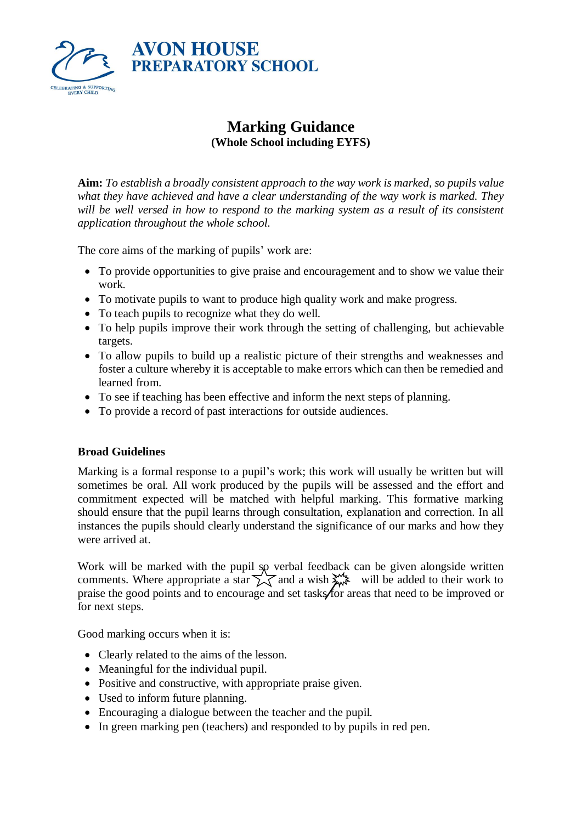

# **Marking Guidance (Whole School including EYFS)**

**Aim:** *To establish a broadly consistent approach to the way work is marked, so pupils value what they have achieved and have a clear understanding of the way work is marked. They*  will be well versed in how to respond to the marking system as a result of its consistent *application throughout the whole school.*

The core aims of the marking of pupils' work are:

- To provide opportunities to give praise and encouragement and to show we value their work.
- To motivate pupils to want to produce high quality work and make progress.
- To teach pupils to recognize what they do well.
- To help pupils improve their work through the setting of challenging, but achievable targets.
- To allow pupils to build up a realistic picture of their strengths and weaknesses and foster a culture whereby it is acceptable to make errors which can then be remedied and learned from.
- To see if teaching has been effective and inform the next steps of planning.
- To provide a record of past interactions for outside audiences.

#### **Broad Guidelines**

Marking is a formal response to a pupil's work; this work will usually be written but will sometimes be oral. All work produced by the pupils will be assessed and the effort and commitment expected will be matched with helpful marking. This formative marking should ensure that the pupil learns through consultation, explanation and correction. In all instances the pupils should clearly understand the significance of our marks and how they were arrived at.

Work will be marked with the pupil so verbal feedback can be given alongside written comments. Where appropriate a star  $\sum \overline{\zeta}$  and a wish  $\sum_{n=1}^{\infty}$  will be added to their work to praise the good points and to encourage and set tasks for areas that need to be improved or for next steps.

Good marking occurs when it is:

- Clearly related to the aims of the lesson.
- Meaningful for the individual pupil.
- Positive and constructive, with appropriate praise given.
- Used to inform future planning.
- Encouraging a dialogue between the teacher and the pupil.
- In green marking pen (teachers) and responded to by pupils in red pen.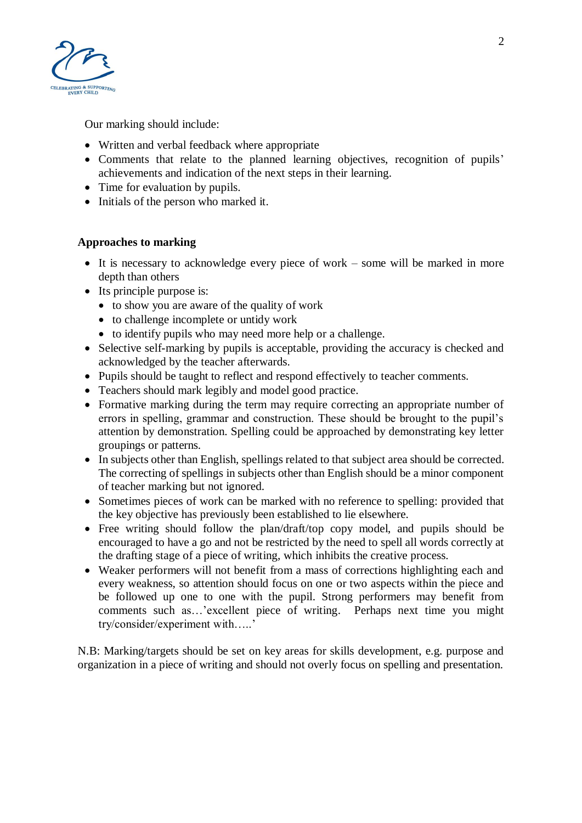

Our marking should include:

- Written and verbal feedback where appropriate
- Comments that relate to the planned learning objectives, recognition of pupils' achievements and indication of the next steps in their learning.
- Time for evaluation by pupils.
- Initials of the person who marked it.

# **Approaches to marking**

- It is necessary to acknowledge every piece of work some will be marked in more depth than others
- Its principle purpose is:
	- to show you are aware of the quality of work
	- to challenge incomplete or untidy work
	- to identify pupils who may need more help or a challenge.
- Selective self-marking by pupils is acceptable, providing the accuracy is checked and acknowledged by the teacher afterwards.
- Pupils should be taught to reflect and respond effectively to teacher comments.
- Teachers should mark legibly and model good practice.
- Formative marking during the term may require correcting an appropriate number of errors in spelling, grammar and construction. These should be brought to the pupil's attention by demonstration. Spelling could be approached by demonstrating key letter groupings or patterns.
- In subjects other than English, spellings related to that subject area should be corrected. The correcting of spellings in subjects other than English should be a minor component of teacher marking but not ignored.
- Sometimes pieces of work can be marked with no reference to spelling: provided that the key objective has previously been established to lie elsewhere.
- Free writing should follow the plan/draft/top copy model, and pupils should be encouraged to have a go and not be restricted by the need to spell all words correctly at the drafting stage of a piece of writing, which inhibits the creative process.
- Weaker performers will not benefit from a mass of corrections highlighting each and every weakness, so attention should focus on one or two aspects within the piece and be followed up one to one with the pupil. Strong performers may benefit from comments such as…'excellent piece of writing. Perhaps next time you might try/consider/experiment with…..'

N.B: Marking/targets should be set on key areas for skills development, e.g. purpose and organization in a piece of writing and should not overly focus on spelling and presentation.